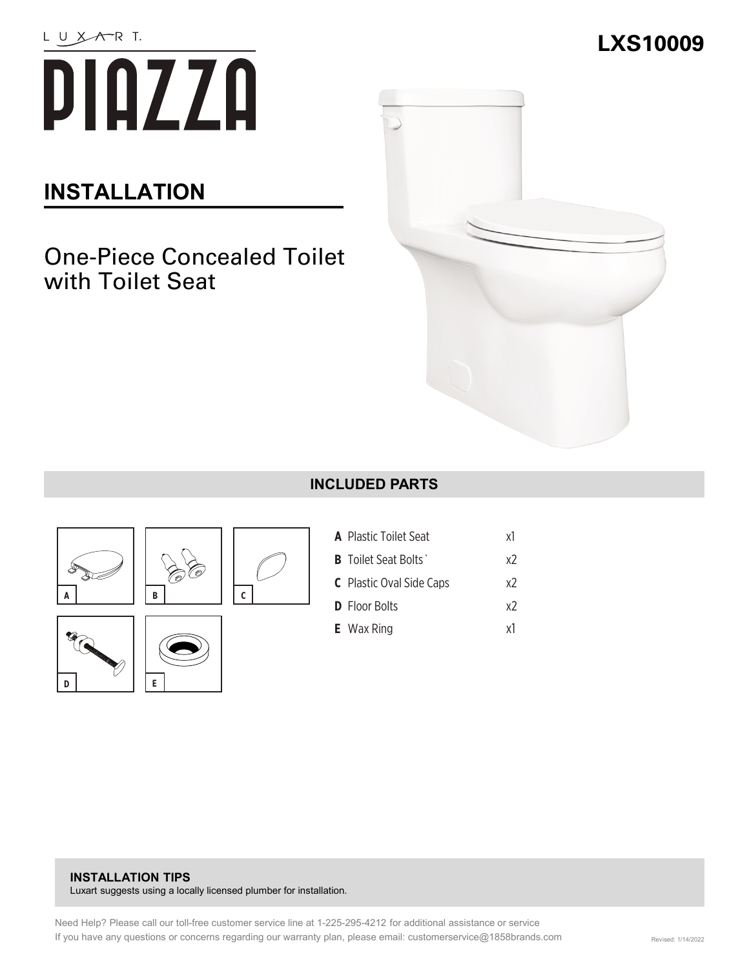

# **INSTALLATION**

## One-Piece Concealed Toilet with Toilet Seat



#### **INCLUDED PARTS**





**E**

| <b>A</b> Plastic Toilet Seat    | x1 |
|---------------------------------|----|
| <b>B</b> Toilet Seat Bolts      | х2 |
| <b>C</b> Plastic Oval Side Caps | х2 |
| <b>D</b> Floor Bolts            | х2 |
| <b>E</b> Wax Ring               | χl |

#### **INSTALLATION TIPS**  Luxart suggests using a locally licensed plumber for installation.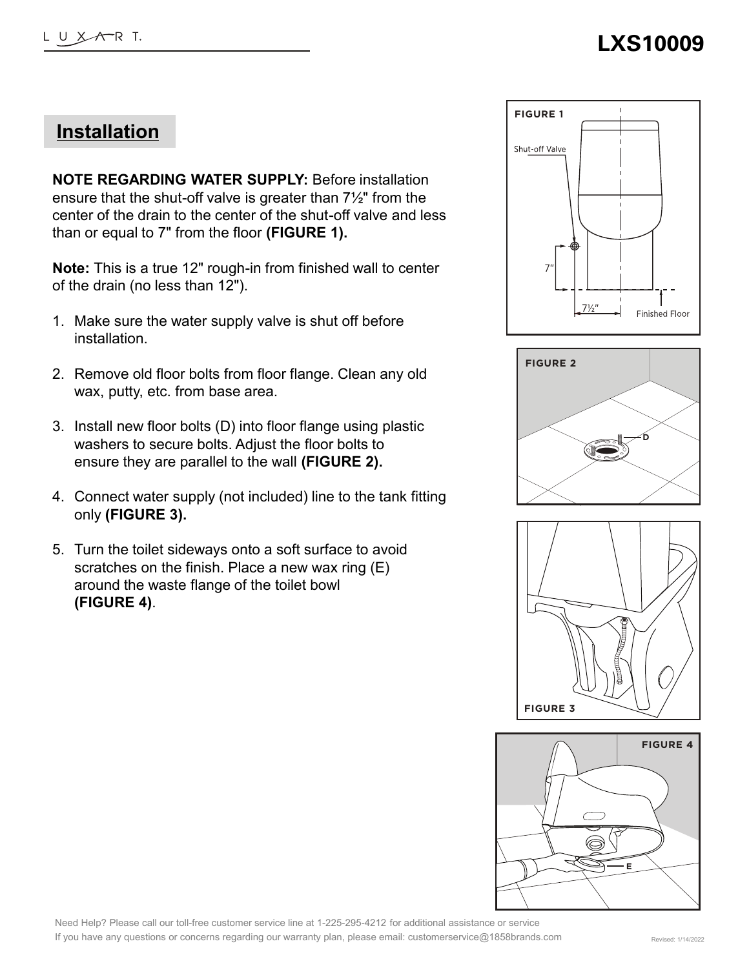### **Installation**

**NOTE REGARDING WATER SUPPLY:** Before installation ensure that the shut-off valve is greater than 7½" from the center of the drain to the center of the shut-off valve and less than or equal to 7" from the floor **(FIGURE 1).**

**Note:** This is a true 12" rough-in from finished wall to center of the drain (no less than 12").

- 1. Make sure the water supply valve is shut off before installation.
- 2. Remove old floor bolts from floor flange. Clean any old wax, putty, etc. from base area.
- 3. Install new floor bolts (D) into floor flange using plastic washers to secure bolts. Adjust the floor bolts to ensure they are parallel to the wall **(FIGURE 2).**
- 4. Connect water supply (not included) line to the tank fitting only **(FIGURE 3).**
- 5. Turn the toilet sideways onto a soft surface to avoid scratches on the finish. Place a new wax ring (E) around the waste flange of the toilet bowl **(FIGURE 4)**.









Need Help? Please call our toll-free customer service line at 1-225-295-4212 for additional assistance or service If you have any questions or concerns regarding our warranty plan, please email: customerservice@1858brands.com Revised: 1/14/2022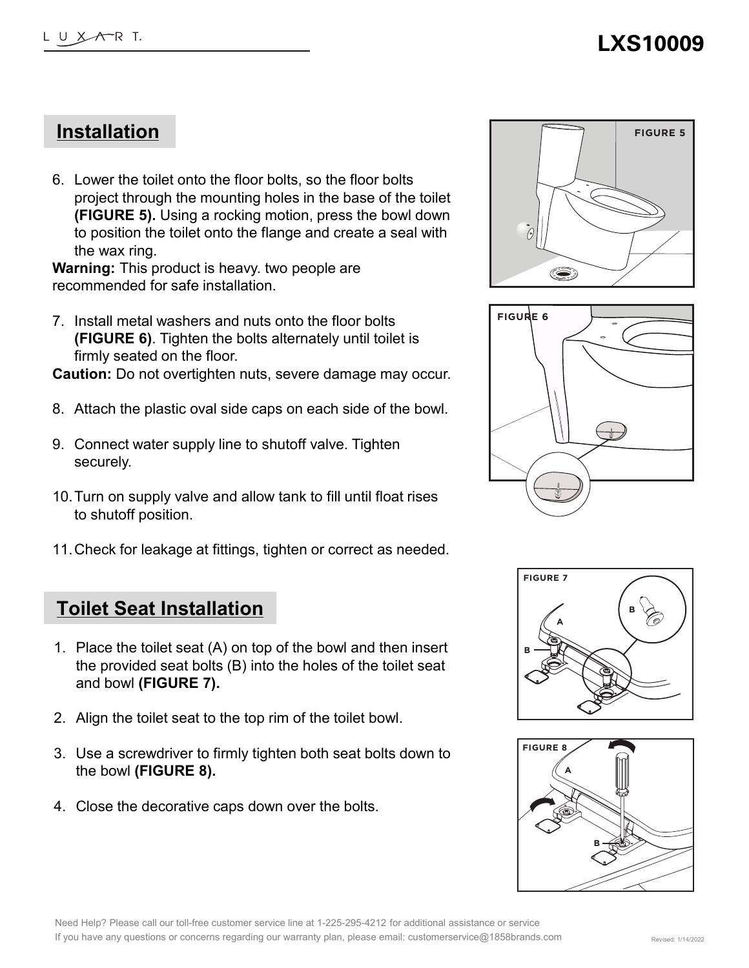#### **Installation**

6. Lower the toilet onto the floor bolts, so the floor bolts project through the mounting holes in the base of the toilet **(FIGURE 5).** Using a rocking motion, press the bowl down to position the toilet onto the flange and create a seal with the wax ring.

**Warning:** This product is heavy. two people are recommended for safe installation.

7. Install metal washers and nuts onto the floor bolts **(FIGURE 6)**. Tighten the bolts alternately until toilet is firmly seated on the floor.

**Caution:** Do not overtighten nuts, severe damage may occur.

- 8. Attach the plastic oval side caps on each side of the bowl.
- 9. Connect water supply line to shutoff valve. Tighten securely.
- 10.Turn on supply valve and allow tank to fill until float rises to shutoff position.
- 11.Check for leakage at fittings, tighten or correct as needed.

#### **Toilet Seat Installation**

- 1. Place the toilet seat (A) on top of the bowl and then insert the provided seat bolts (B) into the holes of the toilet seat and bowl **(FIGURE 7).**
- 2. Align the toilet seat to the top rim of the toilet bowl.
- 3. Use a screwdriver to firmly tighten both seat bolts down to the bowl **(FIGURE 8).**
- 4. Close the decorative caps down over the bolts.